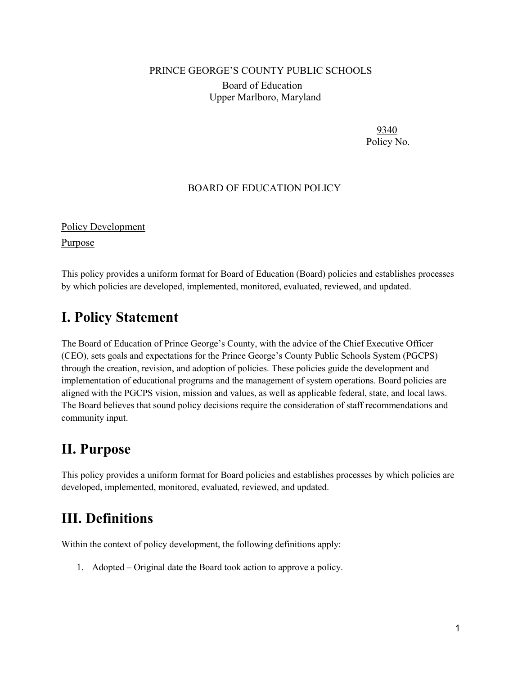#### PRINCE GEORGE'S COUNTY PUBLIC SCHOOLS

Board of Education Upper Marlboro, Maryland

> 9340 Policy No.

#### BOARD OF EDUCATION POLICY

Policy Development

Purpose

This policy provides a uniform format for Board of Education (Board) policies and establishes processes by which policies are developed, implemented, monitored, evaluated, reviewed, and updated.

## **I. Policy Statement**

The Board of Education of Prince George's County, with the advice of the Chief Executive Officer (CEO), sets goals and expectations for the Prince George's County Public Schools System (PGCPS) through the creation, revision, and adoption of policies. These policies guide the development and implementation of educational programs and the management of system operations. Board policies are aligned with the PGCPS vision, mission and values, as well as applicable federal, state, and local laws. The Board believes that sound policy decisions require the consideration of staff recommendations and community input.

# **II. Purpose**

This policy provides a uniform format for Board policies and establishes processes by which policies are developed, implemented, monitored, evaluated, reviewed, and updated.

## **III. Definitions**

Within the context of policy development, the following definitions apply:

1. Adopted – Original date the Board took action to approve a policy.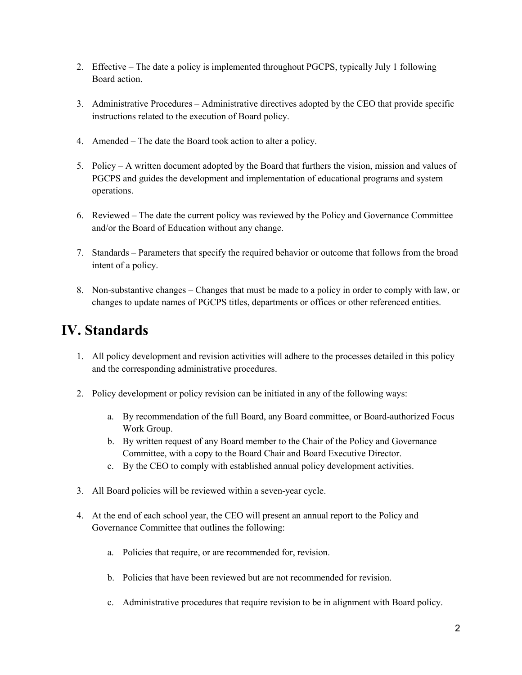- 2. Effective The date a policy is implemented throughout PGCPS, typically July 1 following Board action.
- 3. Administrative Procedures Administrative directives adopted by the CEO that provide specific instructions related to the execution of Board policy.
- 4. Amended The date the Board took action to alter a policy.
- 5. Policy A written document adopted by the Board that furthers the vision, mission and values of PGCPS and guides the development and implementation of educational programs and system operations.
- 6. Reviewed The date the current policy was reviewed by the Policy and Governance Committee and/or the Board of Education without any change.
- 7. Standards Parameters that specify the required behavior or outcome that follows from the broad intent of a policy.
- 8. Non-substantive changes Changes that must be made to a policy in order to comply with law, or changes to update names of PGCPS titles, departments or offices or other referenced entities.

# **IV. Standards**

- 1. All policy development and revision activities will adhere to the processes detailed in this policy and the corresponding administrative procedures.
- 2. Policy development or policy revision can be initiated in any of the following ways:
	- a. By recommendation of the full Board, any Board committee, or Board-authorized Focus Work Group.
	- b. By written request of any Board member to the Chair of the Policy and Governance Committee, with a copy to the Board Chair and Board Executive Director.
	- c. By the CEO to comply with established annual policy development activities.
- 3. All Board policies will be reviewed within a seven-year cycle.
- 4. At the end of each school year, the CEO will present an annual report to the Policy and Governance Committee that outlines the following:
	- a. Policies that require, or are recommended for, revision.
	- b. Policies that have been reviewed but are not recommended for revision.
	- c. Administrative procedures that require revision to be in alignment with Board policy.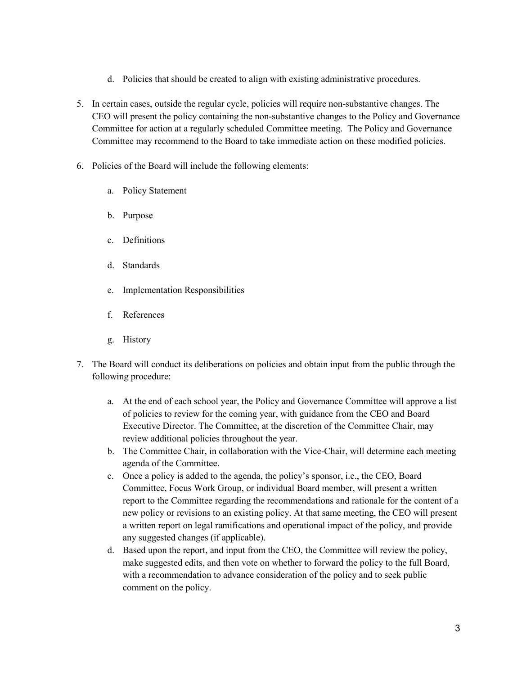- d. Policies that should be created to align with existing administrative procedures.
- 5. In certain cases, outside the regular cycle, policies will require non-substantive changes. The CEO will present the policy containing the non-substantive changes to the Policy and Governance Committee for action at a regularly scheduled Committee meeting. The Policy and Governance Committee may recommend to the Board to take immediate action on these modified policies.
- 6. Policies of the Board will include the following elements:
	- a. Policy Statement
	- b. Purpose
	- c. Definitions
	- d. Standards
	- e. Implementation Responsibilities
	- f. References
	- g. History
- 7. The Board will conduct its deliberations on policies and obtain input from the public through the following procedure:
	- a. At the end of each school year, the Policy and Governance Committee will approve a list of policies to review for the coming year, with guidance from the CEO and Board Executive Director. The Committee, at the discretion of the Committee Chair, may review additional policies throughout the year.
	- b. The Committee Chair, in collaboration with the Vice-Chair, will determine each meeting agenda of the Committee.
	- c. Once a policy is added to the agenda, the policy's sponsor, i.e., the CEO, Board Committee, Focus Work Group, or individual Board member, will present a written report to the Committee regarding the recommendations and rationale for the content of a new policy or revisions to an existing policy. At that same meeting, the CEO will present a written report on legal ramifications and operational impact of the policy, and provide any suggested changes (if applicable).
	- d. Based upon the report, and input from the CEO, the Committee will review the policy, make suggested edits, and then vote on whether to forward the policy to the full Board, with a recommendation to advance consideration of the policy and to seek public comment on the policy.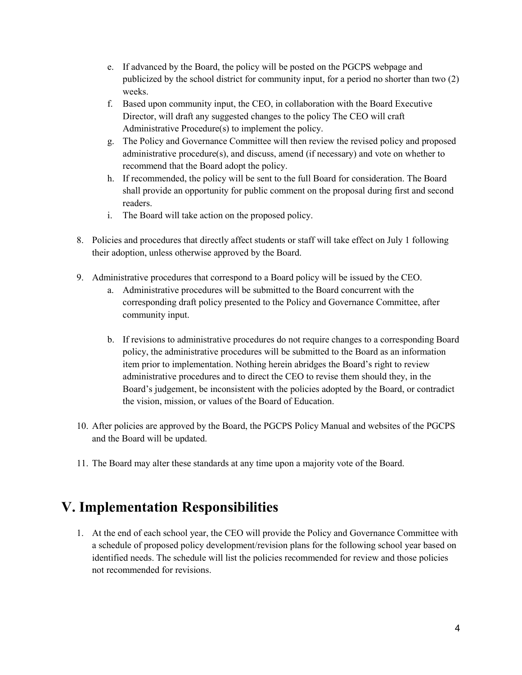- e. If advanced by the Board, the policy will be posted on the PGCPS webpage and publicized by the school district for community input, for a period no shorter than two (2) weeks.
- f. Based upon community input, the CEO, in collaboration with the Board Executive Director, will draft any suggested changes to the policy The CEO will craft Administrative Procedure(s) to implement the policy.
- g. The Policy and Governance Committee will then review the revised policy and proposed administrative procedure(s), and discuss, amend (if necessary) and vote on whether to recommend that the Board adopt the policy.
- h. If recommended, the policy will be sent to the full Board for consideration. The Board shall provide an opportunity for public comment on the proposal during first and second readers.
- i. The Board will take action on the proposed policy.
- 8. Policies and procedures that directly affect students or staff will take effect on July 1 following their adoption, unless otherwise approved by the Board.
- 9. Administrative procedures that correspond to a Board policy will be issued by the CEO.
	- a. Administrative procedures will be submitted to the Board concurrent with the corresponding draft policy presented to the Policy and Governance Committee, after community input.
	- b. If revisions to administrative procedures do not require changes to a corresponding Board policy, the administrative procedures will be submitted to the Board as an information item prior to implementation. Nothing herein abridges the Board's right to review administrative procedures and to direct the CEO to revise them should they, in the Board's judgement, be inconsistent with the policies adopted by the Board, or contradict the vision, mission, or values of the Board of Education.
- 10. After policies are approved by the Board, the PGCPS Policy Manual and websites of the PGCPS and the Board will be updated.
- 11. The Board may alter these standards at any time upon a majority vote of the Board.

# **V. Implementation Responsibilities**

1. At the end of each school year, the CEO will provide the Policy and Governance Committee with a schedule of proposed policy development/revision plans for the following school year based on identified needs. The schedule will list the policies recommended for review and those policies not recommended for revisions.